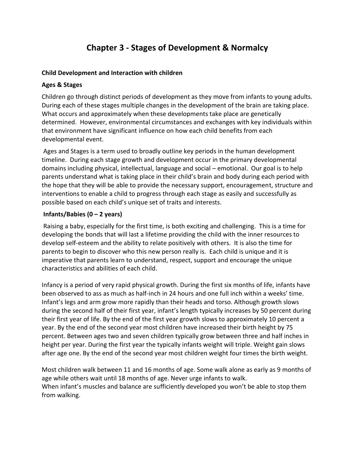# **Chapter 3 - Stages of Development & Normalcy**

#### **Child Development and Interaction with children**

#### **Ages & Stages**

Children go through distinct periods of development as they move from infants to young adults. During each of these stages multiple changes in the development of the brain are taking place. What occurs and approximately when these developments take place are genetically determined. However, environmental circumstances and exchanges with key individuals within that environment have significant influence on how each child benefits from each developmental event.

Ages and Stages is a term used to broadly outline key periods in the human development timeline. During each stage growth and development occur in the primary developmental domains including physical, intellectual, language and social – emotional. Our goal is to help parents understand what is taking place in their child's brain and body during each period with the hope that they will be able to provide the necessary support, encouragement, structure and interventions to enable a child to progress through each stage as easily and successfully as possible based on each child's unique set of traits and interests.

### **Infants/Babies (0 – 2 years)**

Raising a baby, especially for the first time, is both exciting and challenging. This is a time for developing the bonds that will last a lifetime providing the child with the inner resources to develop self-esteem and the ability to relate positively with others. It is also the time for parents to begin to discover who this new person really is. Each child is unique and it is imperative that parents learn to understand, respect, support and encourage the unique characteristics and abilities of each child.

Infancy is a period of very rapid physical growth. During the first six months of life, infants have been observed to ass as much as half-inch in 24 hours and one full inch within a weeks' time. Infant's legs and arm grow more rapidly than their heads and torso. Although growth slows during the second half of their first year, infant's length typically increases by 50 percent during their first year of life. By the end of the first year growth slows to approximately 10 percent a year. By the end of the second year most children have increased their birth height by 75 percent. Between ages two and seven children typically grow between three and half inches in height per year. During the first year the typically infants weight will triple. Weight gain slows after age one. By the end of the second year most children weight four times the birth weight.

Most children walk between 11 and 16 months of age. Some walk alone as early as 9 months of age while others wait until 18 months of age. Never urge infants to walk. When infant's muscles and balance are sufficiently developed you won't be able to stop them from walking.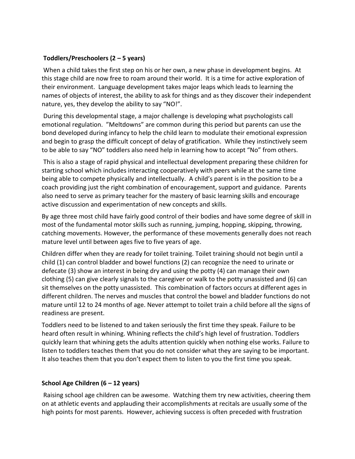### **Toddlers/Preschoolers (2 – 5 years)**

When a child takes the first step on his or her own, a new phase in development begins. At this stage child are now free to roam around their world. It is a time for active exploration of their environment. Language development takes major leaps which leads to learning the names of objects of interest, the ability to ask for things and as they discover their independent nature, yes, they develop the ability to say "NO!".

During this developmental stage, a major challenge is developing what psychologists call emotional regulation. "Meltdowns" are common during this period but parents can use the bond developed during infancy to help the child learn to modulate their emotional expression and begin to grasp the difficult concept of delay of gratification. While they instinctively seem to be able to say "NO" toddlers also need help in learning how to accept "No" from others.

This is also a stage of rapid physical and intellectual development preparing these children for starting school which includes interacting cooperatively with peers while at the same time being able to compete physically and intellectually. A child's parent is in the position to be a coach providing just the right combination of encouragement, support and guidance. Parents also need to serve as primary teacher for the mastery of basic learning skills and encourage active discussion and experimentation of new concepts and skills.

By age three most child have fairly good control of their bodies and have some degree of skill in most of the fundamental motor skills such as running, jumping, hopping, skipping, throwing, catching movements. However, the performance of these movements generally does not reach mature level until between ages five to five years of age.

Children differ when they are ready for toilet training. Toilet training should not begin until a child (1) can control bladder and bowel functions (2) can recognize the need to urinate or defecate (3) show an interest in being dry and using the potty (4) can manage their own clothing (5) can give clearly signals to the caregiver or walk to the potty unassisted and (6) can sit themselves on the potty unassisted. This combination of factors occurs at different ages in different children. The nerves and muscles that control the bowel and bladder functions do not mature until 12 to 24 months of age. Never attempt to toilet train a child before all the signs of readiness are present.

Toddlers need to be listened to and taken seriously the first time they speak. Failure to be heard often result in whining. Whining reflects the child's high level of frustration. Toddlers quickly learn that whining gets the adults attention quickly when nothing else works. Failure to listen to toddlers teaches them that you do not consider what they are saying to be important. It also teaches them that you don't expect them to listen to you the first time you speak.

# **School Age Children (6 – 12 years)**

Raising school age children can be awesome. Watching them try new activities, cheering them on at athletic events and applauding their accomplishments at recitals are usually some of the high points for most parents. However, achieving success is often preceded with frustration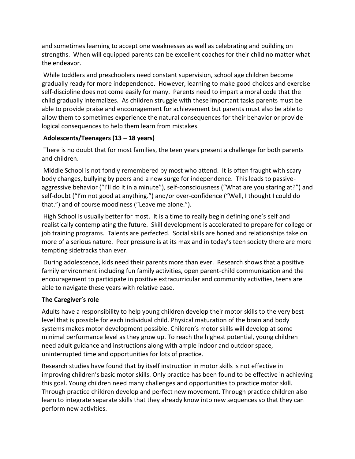and sometimes learning to accept one weaknesses as well as celebrating and building on strengths. When will equipped parents can be excellent coaches for their child no matter what the endeavor.

While toddlers and preschoolers need constant supervision, school age children become gradually ready for more independence. However, learning to make good choices and exercise self-discipline does not come easily for many. Parents need to impart a moral code that the child gradually internalizes. As children struggle with these important tasks parents must be able to provide praise and encouragement for achievement but parents must also be able to allow them to sometimes experience the natural consequences for their behavior or provide logical consequences to help them learn from mistakes.

# **Adolescents/Teenagers (13 – 18 years)**

There is no doubt that for most families, the teen years present a challenge for both parents and children.

Middle School is not fondly remembered by most who attend. It is often fraught with scary body changes, bullying by peers and a new surge for independence. This leads to passiveaggressive behavior ("I'll do it in a minute"), self-consciousness ("What are you staring at?") and self-doubt ("I'm not good at anything.") and/or over-confidence ("Well, I thought I could do that.") and of course moodiness ("Leave me alone.").

High School is usually better for most. It is a time to really begin defining one's self and realistically contemplating the future. Skill development is accelerated to prepare for college or job training programs. Talents are perfected. Social skills are honed and relationships take on more of a serious nature. Peer pressure is at its max and in today's teen society there are more tempting sidetracks than ever.

During adolescence, kids need their parents more than ever. Research shows that a positive family environment including fun family activities, open parent-child communication and the encouragement to participate in positive extracurricular and community activities, teens are able to navigate these years with relative ease.

# **The Caregiver's role**

Adults have a responsibility to help young children develop their motor skills to the very best level that is possible for each individual child. Physical maturation of the brain and body systems makes motor development possible. Children's motor skills will develop at some minimal performance level as they grow up. To reach the highest potential, young children need adult guidance and instructions along with ample indoor and outdoor space, uninterrupted time and opportunities for lots of practice.

Research studies have found that by itself instruction in motor skills is not effective in improving children's basic motor skills. Only practice has been found to be effective in achieving this goal. Young children need many challenges and opportunities to practice motor skill. Through practice children develop and perfect new movement. Through practice children also learn to integrate separate skills that they already know into new sequences so that they can perform new activities.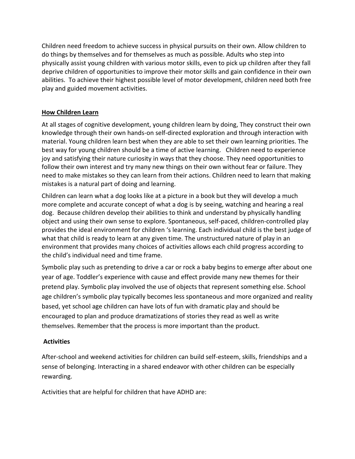Children need freedom to achieve success in physical pursuits on their own. Allow children to do things by themselves and for themselves as much as possible. Adults who step into physically assist young children with various motor skills, even to pick up children after they fall deprive children of opportunities to improve their motor skills and gain confidence in their own abilities. To achieve their highest possible level of motor development, children need both free play and guided movement activities.

# **How Children Learn**

At all stages of cognitive development, young children learn by doing, They construct their own knowledge through their own hands-on self-directed exploration and through interaction with material. Young children learn best when they are able to set their own learning priorities. The best way for young children should be a time of active learning. Children need to experience joy and satisfying their nature curiosity in ways that they choose. They need opportunities to follow their own interest and try many new things on their own without fear or failure. They need to make mistakes so they can learn from their actions. Children need to learn that making mistakes is a natural part of doing and learning.

Children can learn what a dog looks like at a picture in a book but they will develop a much more complete and accurate concept of what a dog is by seeing, watching and hearing a real dog. Because children develop their abilities to think and understand by physically handling object and using their own sense to explore. Spontaneous, self-paced, children-controlled play provides the ideal environment for children 's learning. Each individual child is the best judge of what that child is ready to learn at any given time. The unstructured nature of play in an environment that provides many choices of activities allows each child progress according to the child's individual need and time frame.

Symbolic play such as pretending to drive a car or rock a baby begins to emerge after about one year of age. Toddler's experience with cause and effect provide many new themes for their pretend play. Symbolic play involved the use of objects that represent something else. School age children's symbolic play typically becomes less spontaneous and more organized and reality based, yet school age children can have lots of fun with dramatic play and should be encouraged to plan and produce dramatizations of stories they read as well as write themselves. Remember that the process is more important than the product.

# **Activities**

After-school and weekend activities for children can build self-esteem, skills, friendships and a sense of belonging. Interacting in a shared endeavor with other children can be especially rewarding.

Activities that are helpful for children that have ADHD are: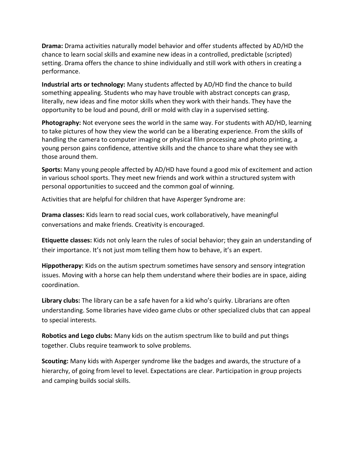**Drama:** Drama activities naturally model behavior and offer students affected by AD/HD the chance to learn social skills and examine new ideas in a controlled, predictable (scripted) setting. Drama offers the chance to shine individually and still work with others in creating a performance.

**Industrial arts or technology:** Many students affected by AD/HD find the chance to build something appealing. Students who may have trouble with abstract concepts can grasp, literally, new ideas and fine motor skills when they work with their hands. They have the opportunity to be loud and pound, drill or mold with clay in a supervised setting.

**Photography:** Not everyone sees the world in the same way. For students with AD/HD, learning to take pictures of how they view the world can be a liberating experience. From the skills of handling the camera to computer imaging or physical film processing and photo printing, a young person gains confidence, attentive skills and the chance to share what they see with those around them.

**Sports:** Many young people affected by AD/HD have found a good mix of excitement and action in various school sports. They meet new friends and work within a structured system with personal opportunities to succeed and the common goal of winning.

Activities that are helpful for children that have Asperger Syndrome are:

**Drama classes:** Kids learn to read social cues, work collaboratively, have meaningful conversations and make friends. Creativity is encouraged.

**Etiquette classes:** Kids not only learn the rules of social behavior; they gain an understanding of their importance. It's not just mom telling them how to behave, it's an expert.

**Hippotherapy:** Kids on the autism spectrum sometimes have sensory and sensory integration issues. Moving with a horse can help them understand where their bodies are in space, aiding coordination.

**Library clubs:** The library can be a safe haven for a kid who's quirky. Librarians are often understanding. Some libraries have video game clubs or other specialized clubs that can appeal to special interests.

**Robotics and Lego clubs:** Many kids on the autism spectrum like to build and put things together. Clubs require teamwork to solve problems.

**Scouting:** Many kids with Asperger syndrome like the badges and awards, the structure of a hierarchy, of going from level to level. Expectations are clear. Participation in group projects and camping builds social skills.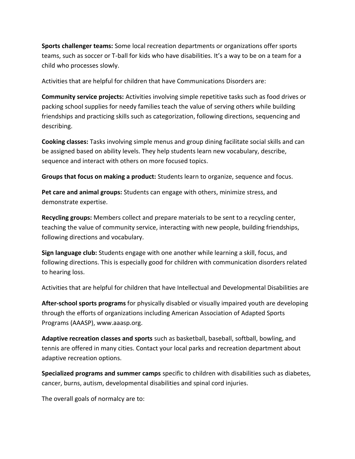**Sports challenger teams:** Some local recreation departments or organizations offer sports teams, such as soccer or T-ball for kids who have disabilities. It's a way to be on a team for a child who processes slowly.

Activities that are helpful for children that have Communications Disorders are:

**Community service projects:** Activities involving simple repetitive tasks such as food drives or packing school supplies for needy families teach the value of serving others while building friendships and practicing skills such as categorization, following directions, sequencing and describing.

**Cooking classes:** Tasks involving simple menus and group dining facilitate social skills and can be assigned based on ability levels. They help students learn new vocabulary, describe, sequence and interact with others on more focused topics.

**Groups that focus on making a product:** Students learn to organize, sequence and focus.

**Pet care and animal groups:** Students can engage with others, minimize stress, and demonstrate expertise.

**Recycling groups:** Members collect and prepare materials to be sent to a recycling center, teaching the value of community service, interacting with new people, building friendships, following directions and vocabulary.

**Sign language club:** Students engage with one another while learning a skill, focus, and following directions. This is especially good for children with communication disorders related to hearing loss.

Activities that are helpful for children that have Intellectual and Developmental Disabilities are

**After-school sports programs** for physically disabled or visually impaired youth are developing through the efforts of organizations including American Association of Adapted Sports Programs (AAASP), www.aaasp.org.

**Adaptive recreation classes and sports** such as basketball, baseball, softball, bowling, and tennis are offered in many cities. Contact your local parks and recreation department about adaptive recreation options.

**Specialized programs and summer camps** specific to children with disabilities such as diabetes, cancer, burns, autism, developmental disabilities and spinal cord injuries.

The overall goals of normalcy are to: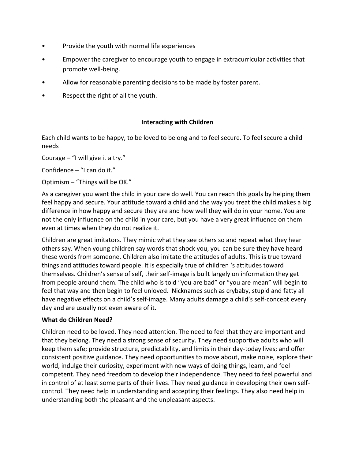- Provide the youth with normal life experiences
- Empower the caregiver to encourage youth to engage in extracurricular activities that promote well-being.
- Allow for reasonable parenting decisions to be made by foster parent.
- Respect the right of all the youth.

# **Interacting with Children**

Each child wants to be happy, to be loved to belong and to feel secure. To feel secure a child needs

Courage – "I will give it a try."

Confidence – "I can do it."

Optimism – "Things will be OK."

As a caregiver you want the child in your care do well. You can reach this goals by helping them feel happy and secure. Your attitude toward a child and the way you treat the child makes a big difference in how happy and secure they are and how well they will do in your home. You are not the only influence on the child in your care, but you have a very great influence on them even at times when they do not realize it.

Children are great imitators. They mimic what they see others so and repeat what they hear others say. When young children say words that shock you, you can be sure they have heard these words from someone. Children also imitate the attitudes of adults. This is true toward things and attitudes toward people. It is especially true of children 's attitudes toward themselves. Children's sense of self, their self-image is built largely on information they get from people around them. The child who is told "you are bad" or "you are mean" will begin to feel that way and then begin to feel unloved. Nicknames such as crybaby, stupid and fatty all have negative effects on a child's self-image. Many adults damage a child's self-concept every day and are usually not even aware of it.

# **What do Children Need?**

Children need to be loved. They need attention. The need to feel that they are important and that they belong. They need a strong sense of security. They need supportive adults who will keep them safe; provide structure, predictability, and limits in their day-today lives; and offer consistent positive guidance. They need opportunities to move about, make noise, explore their world, indulge their curiosity, experiment with new ways of doing things, learn, and feel competent. They need freedom to develop their independence. They need to feel powerful and in control of at least some parts of their lives. They need guidance in developing their own selfcontrol. They need help in understanding and accepting their feelings. They also need help in understanding both the pleasant and the unpleasant aspects.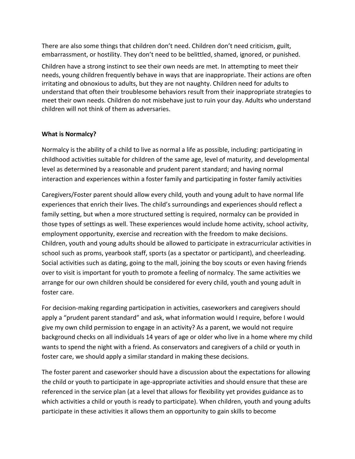There are also some things that children don't need. Children don't need criticism, guilt, embarrassment, or hostility. They don't need to be belittled, shamed, ignored, or punished.

Children have a strong instinct to see their own needs are met. In attempting to meet their needs, young children frequently behave in ways that are inappropriate. Their actions are often irritating and obnoxious to adults, but they are not naughty. Children need for adults to understand that often their troublesome behaviors result from their inappropriate strategies to meet their own needs. Children do not misbehave just to ruin your day. Adults who understand children will not think of them as adversaries.

### **What is Normalcy?**

Normalcy is the ability of a child to live as normal a life as possible, including: participating in childhood activities suitable for children of the same age, level of maturity, and developmental level as determined by a reasonable and prudent parent standard; and having normal interaction and experiences within a foster family and participating in foster family activities

Caregivers/Foster parent should allow every child, youth and young adult to have normal life experiences that enrich their lives. The child's surroundings and experiences should reflect a family setting, but when a more structured setting is required, normalcy can be provided in those types of settings as well. These experiences would include home activity, school activity, employment opportunity, exercise and recreation with the freedom to make decisions. Children, youth and young adults should be allowed to participate in extracurricular activities in school such as proms, yearbook staff, sports (as a spectator or participant), and cheerleading. Social activities such as dating, going to the mall, joining the boy scouts or even having friends over to visit is important for youth to promote a feeling of normalcy. The same activities we arrange for our own children should be considered for every child, youth and young adult in foster care.

For decision-making regarding participation in activities, caseworkers and caregivers should apply a "prudent parent standard" and ask, what information would I require, before I would give my own child permission to engage in an activity? As a parent, we would not require background checks on all individuals 14 years of age or older who live in a home where my child wants to spend the night with a friend. As conservators and caregivers of a child or youth in foster care, we should apply a similar standard in making these decisions.

The foster parent and caseworker should have a discussion about the expectations for allowing the child or youth to participate in age-appropriate activities and should ensure that these are referenced in the service plan (at a level that allows for flexibility yet provides guidance as to which activities a child or youth is ready to participate). When children, youth and young adults participate in these activities it allows them an opportunity to gain skills to become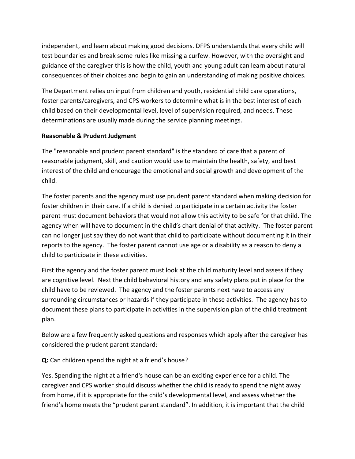independent, and learn about making good decisions. DFPS understands that every child will test boundaries and break some rules like missing a curfew. However, with the oversight and guidance of the caregiver this is how the child, youth and young adult can learn about natural consequences of their choices and begin to gain an understanding of making positive choices.

The Department relies on input from children and youth, residential child care operations, foster parents/caregivers, and CPS workers to determine what is in the best interest of each child based on their developmental level, level of supervision required, and needs. These determinations are usually made during the service planning meetings.

# **Reasonable & Prudent Judgment**

The "reasonable and prudent parent standard" is the standard of care that a parent of reasonable judgment, skill, and caution would use to maintain the health, safety, and best interest of the child and encourage the emotional and social growth and development of the child.

The foster parents and the agency must use prudent parent standard when making decision for foster children in their care. If a child is denied to participate in a certain activity the foster parent must document behaviors that would not allow this activity to be safe for that child. The agency when will have to document in the child's chart denial of that activity. The foster parent can no longer just say they do not want that child to participate without documenting it in their reports to the agency. The foster parent cannot use age or a disability as a reason to deny a child to participate in these activities.

First the agency and the foster parent must look at the child maturity level and assess if they are cognitive level. Next the child behavioral history and any safety plans put in place for the child have to be reviewed. The agency and the foster parents next have to access any surrounding circumstances or hazards if they participate in these activities. The agency has to document these plans to participate in activities in the supervision plan of the child treatment plan.

Below are a few frequently asked questions and responses which apply after the caregiver has considered the prudent parent standard:

**Q:** Can children spend the night at a friend's house?

Yes. Spending the night at a friend's house can be an exciting experience for a child. The caregiver and CPS worker should discuss whether the child is ready to spend the night away from home, if it is appropriate for the child's developmental level, and assess whether the friend's home meets the "prudent parent standard". In addition, it is important that the child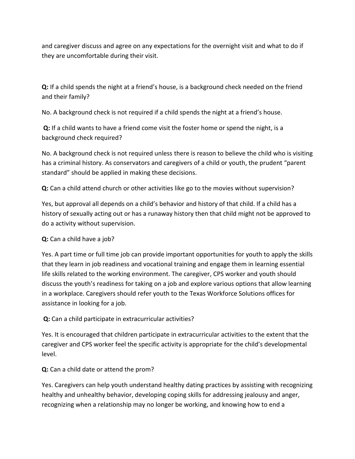and caregiver discuss and agree on any expectations for the overnight visit and what to do if they are uncomfortable during their visit.

**Q:** If a child spends the night at a friend's house, is a background check needed on the friend and their family?

No. A background check is not required if a child spends the night at a friend's house.

**Q:** If a child wants to have a friend come visit the foster home or spend the night, is a background check required?

No. A background check is not required unless there is reason to believe the child who is visiting has a criminal history. As conservators and caregivers of a child or youth, the prudent "parent standard" should be applied in making these decisions.

**Q:** Can a child attend church or other activities like go to the movies without supervision?

Yes, but approval all depends on a child's behavior and history of that child. If a child has a history of sexually acting out or has a runaway history then that child might not be approved to do a activity without supervision.

# **Q:** Can a child have a job?

Yes. A part time or full time job can provide important opportunities for youth to apply the skills that they learn in job readiness and vocational training and engage them in learning essential life skills related to the working environment. The caregiver, CPS worker and youth should discuss the youth's readiness for taking on a job and explore various options that allow learning in a workplace. Caregivers should refer youth to the Texas Workforce Solutions offices for assistance in looking for a job.

# **Q:** Can a child participate in extracurricular activities?

Yes. It is encouraged that children participate in extracurricular activities to the extent that the caregiver and CPS worker feel the specific activity is appropriate for the child's developmental level.

# **Q:** Can a child date or attend the prom?

Yes. Caregivers can help youth understand healthy dating practices by assisting with recognizing healthy and unhealthy behavior, developing coping skills for addressing jealousy and anger, recognizing when a relationship may no longer be working, and knowing how to end a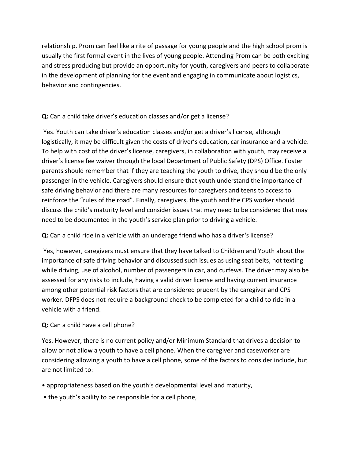relationship. Prom can feel like a rite of passage for young people and the high school prom is usually the first formal event in the lives of young people. Attending Prom can be both exciting and stress producing but provide an opportunity for youth, caregivers and peers to collaborate in the development of planning for the event and engaging in communicate about logistics, behavior and contingencies.

# **Q:** Can a child take driver's education classes and/or get a license?

Yes. Youth can take driver's education classes and/or get a driver's license, although logistically, it may be difficult given the costs of driver's education, car insurance and a vehicle. To help with cost of the driver's license, caregivers, in collaboration with youth, may receive a driver's license fee waiver through the local Department of Public Safety (DPS) Office. Foster parents should remember that if they are teaching the youth to drive, they should be the only passenger in the vehicle. Caregivers should ensure that youth understand the importance of safe driving behavior and there are many resources for caregivers and teens to access to reinforce the "rules of the road". Finally, caregivers, the youth and the CPS worker should discuss the child's maturity level and consider issues that may need to be considered that may need to be documented in the youth's service plan prior to driving a vehicle.

**Q:** Can a child ride in a vehicle with an underage friend who has a driver's license?

Yes, however, caregivers must ensure that they have talked to Children and Youth about the importance of safe driving behavior and discussed such issues as using seat belts, not texting while driving, use of alcohol, number of passengers in car, and curfews. The driver may also be assessed for any risks to include, having a valid driver license and having current insurance among other potential risk factors that are considered prudent by the caregiver and CPS worker. DFPS does not require a background check to be completed for a child to ride in a vehicle with a friend.

# **Q:** Can a child have a cell phone?

Yes. However, there is no current policy and/or Minimum Standard that drives a decision to allow or not allow a youth to have a cell phone. When the caregiver and caseworker are considering allowing a youth to have a cell phone, some of the factors to consider include, but are not limited to:

- appropriateness based on the youth's developmental level and maturity,
- the youth's ability to be responsible for a cell phone,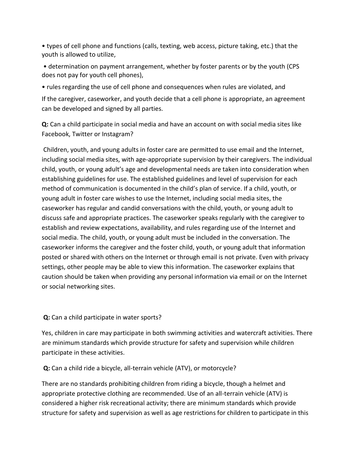• types of cell phone and functions (calls, texting, web access, picture taking, etc.) that the youth is allowed to utilize,

• determination on payment arrangement, whether by foster parents or by the youth (CPS does not pay for youth cell phones),

• rules regarding the use of cell phone and consequences when rules are violated, and

If the caregiver, caseworker, and youth decide that a cell phone is appropriate, an agreement can be developed and signed by all parties.

**Q:** Can a child participate in social media and have an account on with social media sites like Facebook, Twitter or Instagram?

Children, youth, and young adults in foster care are permitted to use email and the Internet, including social media sites, with age-appropriate supervision by their caregivers. The individual child, youth, or young adult's age and developmental needs are taken into consideration when establishing guidelines for use. The established guidelines and level of supervision for each method of communication is documented in the child's plan of service. If a child, youth, or young adult in foster care wishes to use the Internet, including social media sites, the caseworker has regular and candid conversations with the child, youth, or young adult to discuss safe and appropriate practices. The caseworker speaks regularly with the caregiver to establish and review expectations, availability, and rules regarding use of the Internet and social media. The child, youth, or young adult must be included in the conversation. The caseworker informs the caregiver and the foster child, youth, or young adult that information posted or shared with others on the Internet or through email is not private. Even with privacy settings, other people may be able to view this information. The caseworker explains that caution should be taken when providing any personal information via email or on the Internet or social networking sites.

**Q:** Can a child participate in water sports?

Yes, children in care may participate in both swimming activities and watercraft activities. There are minimum standards which provide structure for safety and supervision while children participate in these activities.

**Q:** Can a child ride a bicycle, all-terrain vehicle (ATV), or motorcycle?

There are no standards prohibiting children from riding a bicycle, though a helmet and appropriate protective clothing are recommended. Use of an all-terrain vehicle (ATV) is considered a higher risk recreational activity; there are minimum standards which provide structure for safety and supervision as well as age restrictions for children to participate in this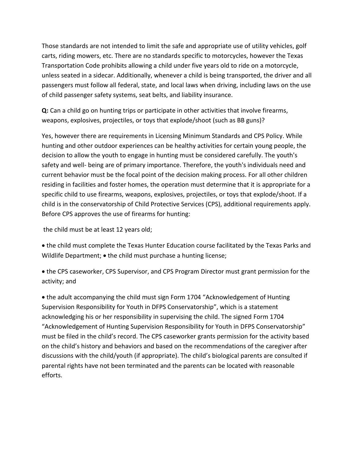Those standards are not intended to limit the safe and appropriate use of utility vehicles, golf carts, riding mowers, etc. There are no standards specific to motorcycles, however the Texas Transportation Code prohibits allowing a child under five years old to ride on a motorcycle, unless seated in a sidecar. Additionally, whenever a child is being transported, the driver and all passengers must follow all federal, state, and local laws when driving, including laws on the use of child passenger safety systems, seat belts, and liability insurance.

**Q:** Can a child go on hunting trips or participate in other activities that involve firearms, weapons, explosives, projectiles, or toys that explode/shoot (such as BB guns)?

Yes, however there are requirements in Licensing Minimum Standards and CPS Policy. While hunting and other outdoor experiences can be healthy activities for certain young people, the decision to allow the youth to engage in hunting must be considered carefully. The youth's safety and well- being are of primary importance. Therefore, the youth's individuals need and current behavior must be the focal point of the decision making process. For all other children residing in facilities and foster homes, the operation must determine that it is appropriate for a specific child to use firearms, weapons, explosives, projectiles, or toys that explode/shoot. If a child is in the conservatorship of Child Protective Services (CPS), additional requirements apply. Before CPS approves the use of firearms for hunting:

the child must be at least 12 years old;

 the child must complete the Texas Hunter Education course facilitated by the Texas Parks and Wildlife Department;  $\bullet$  the child must purchase a hunting license;

 the CPS caseworker, CPS Supervisor, and CPS Program Director must grant permission for the activity; and

 the adult accompanying the child must sign Form 1704 "Acknowledgement of Hunting Supervision Responsibility for Youth in DFPS Conservatorship", which is a statement acknowledging his or her responsibility in supervising the child. The signed Form 1704 "Acknowledgement of Hunting Supervision Responsibility for Youth in DFPS Conservatorship" must be filed in the child's record. The CPS caseworker grants permission for the activity based on the child's history and behaviors and based on the recommendations of the caregiver after discussions with the child/youth (if appropriate). The child's biological parents are consulted if parental rights have not been terminated and the parents can be located with reasonable efforts.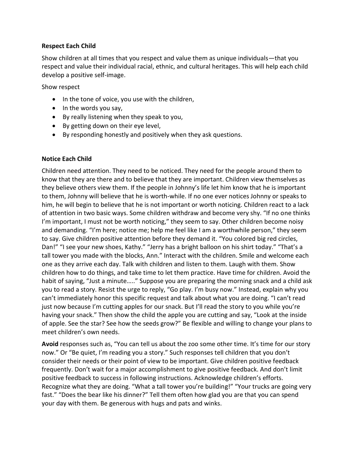### **Respect Each Child**

Show children at all times that you respect and value them as unique individuals—that you respect and value their individual racial, ethnic, and cultural heritages. This will help each child develop a positive self-image.

Show respect

- In the tone of voice, you use with the children,
- $\bullet$  In the words you say,
- By really listening when they speak to you,
- By getting down on their eye level,
- By responding honestly and positively when they ask questions.

#### **Notice Each Child**

Children need attention. They need to be noticed. They need for the people around them to know that they are there and to believe that they are important. Children view themselves as they believe others view them. If the people in Johnny's life let him know that he is important to them, Johnny will believe that he is worth-while. If no one ever notices Johnny or speaks to him, he will begin to believe that he is not important or worth noticing. Children react to a lack of attention in two basic ways. Some children withdraw and become very shy. "If no one thinks I'm important, I must not be worth noticing," they seem to say. Other children become noisy and demanding. "I'm here; notice me; help me feel like I am a worthwhile person," they seem to say. Give children positive attention before they demand it. "You colored big red circles, Dan!" "I see your new shoes, Kathy." "Jerry has a bright balloon on his shirt today." "That's a tall tower you made with the blocks, Ann." Interact with the children. Smile and welcome each one as they arrive each day. Talk with children and listen to them. Laugh with them. Show children how to do things, and take time to let them practice. Have time for children. Avoid the habit of saying, "Just a minute....." Suppose you are preparing the morning snack and a child ask you to read a story. Resist the urge to reply, "Go play. I'm busy now." Instead, explain why you can't immediately honor this specific request and talk about what you are doing. "I can't read just now because I'm cutting apples for our snack. But I'll read the story to you while you're having your snack." Then show the child the apple you are cutting and say, "Look at the inside of apple. See the star? See how the seeds grow?" Be flexible and willing to change your plans to meet children's own needs.

**Avoid** responses such as, "You can tell us about the zoo some other time. It's time for our story now." Or "Be quiet, I'm reading you a story." Such responses tell children that you don't consider their needs or their point of view to be important. Give children positive feedback frequently. Don't wait for a major accomplishment to give positive feedback. And don't limit positive feedback to success in following instructions. Acknowledge children's efforts. Recognize what they are doing. "What a tall tower you're building!" "Your trucks are going very fast." "Does the bear like his dinner?" Tell them often how glad you are that you can spend your day with them. Be generous with hugs and pats and winks.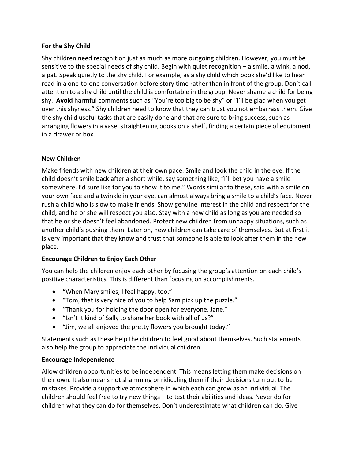### **For the Shy Child**

Shy children need recognition just as much as more outgoing children. However, you must be sensitive to the special needs of shy child. Begin with quiet recognition – a smile, a wink, a nod, a pat. Speak quietly to the shy child. For example, as a shy child which book she'd like to hear read in a one-to-one conversation before story time rather than in front of the group. Don't call attention to a shy child until the child is comfortable in the group. Never shame a child for being shy. **Avoid** harmful comments such as "You're too big to be shy" or "I'll be glad when you get over this shyness." Shy children need to know that they can trust you not embarrass them. Give the shy child useful tasks that are easily done and that are sure to bring success, such as arranging flowers in a vase, straightening books on a shelf, finding a certain piece of equipment in a drawer or box.

### **New Children**

Make friends with new children at their own pace. Smile and look the child in the eye. If the child doesn't smile back after a short while, say something like, "I'll bet you have a smile somewhere. I'd sure like for you to show it to me." Words similar to these, said with a smile on your own face and a twinkle in your eye, can almost always bring a smile to a child's face. Never rush a child who is slow to make friends. Show genuine interest in the child and respect for the child, and he or she will respect you also. Stay with a new child as long as you are needed so that he or she doesn't feel abandoned. Protect new children from unhappy situations, such as another child's pushing them. Later on, new children can take care of themselves. But at first it is very important that they know and trust that someone is able to look after them in the new place.

#### **Encourage Children to Enjoy Each Other**

You can help the children enjoy each other by focusing the group's attention on each child's positive characteristics. This is different than focusing on accomplishments.

- "When Mary smiles, I feel happy, too."
- "Tom, that is very nice of you to help Sam pick up the puzzle."
- "Thank you for holding the door open for everyone, Jane."
- "Isn't it kind of Sally to share her book with all of us?"
- "Jim, we all enjoyed the pretty flowers you brought today."

Statements such as these help the children to feel good about themselves. Such statements also help the group to appreciate the individual children.

#### **Encourage Independence**

Allow children opportunities to be independent. This means letting them make decisions on their own. It also means not shamming or ridiculing them if their decisions turn out to be mistakes. Provide a supportive atmosphere in which each can grow as an individual. The children should feel free to try new things – to test their abilities and ideas. Never do for children what they can do for themselves. Don't underestimate what children can do. Give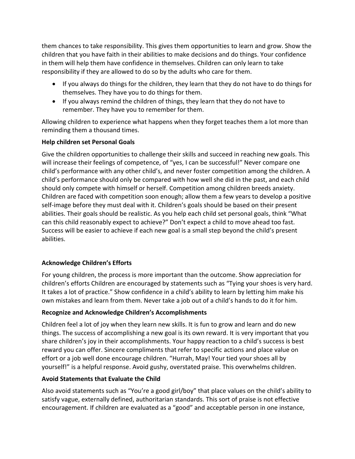them chances to take responsibility. This gives them opportunities to learn and grow. Show the children that you have faith in their abilities to make decisions and do things. Your confidence in them will help them have confidence in themselves. Children can only learn to take responsibility if they are allowed to do so by the adults who care for them.

- If you always do things for the children, they learn that they do not have to do things for themselves. They have you to do things for them.
- If you always remind the children of things, they learn that they do not have to remember. They have you to remember for them.

Allowing children to experience what happens when they forget teaches them a lot more than reminding them a thousand times.

# **Help children set Personal Goals**

Give the children opportunities to challenge their skills and succeed in reaching new goals. This will increase their feelings of competence, of "yes, I can be successful!" Never compare one child's performance with any other child's, and never foster competition among the children. A child's performance should only be compared with how well she did in the past, and each child should only compete with himself or herself. Competition among children breeds anxiety. Children are faced with competition soon enough; allow them a few years to develop a positive self-image before they must deal with it. Children's goals should be based on their present abilities. Their goals should be realistic. As you help each child set personal goals, think "What can this child reasonably expect to achieve?" Don't expect a child to move ahead too fast. Success will be easier to achieve if each new goal is a small step beyond the child's present abilities.

# **Acknowledge Children's Efforts**

For young children, the process is more important than the outcome. Show appreciation for children's efforts Children are encouraged by statements such as "Tying your shoes is very hard. It takes a lot of practice." Show confidence in a child's ability to learn by letting him make his own mistakes and learn from them. Never take a job out of a child's hands to do it for him.

# **Recognize and Acknowledge Children's Accomplishments**

Children feel a lot of joy when they learn new skills. It is fun to grow and learn and do new things. The success of accomplishing a new goal is its own reward. It is very important that you share children's joy in their accomplishments. Your happy reaction to a child's success is best reward you can offer. Sincere compliments that refer to specific actions and place value on effort or a job well done encourage children. "Hurrah, May! Your tied your shoes all by yourself!" is a helpful response. Avoid gushy, overstated praise. This overwhelms children.

# **Avoid Statements that Evaluate the Child**

Also avoid statements such as "You're a good girl/boy" that place values on the child's ability to satisfy vague, externally defined, authoritarian standards. This sort of praise is not effective encouragement. If children are evaluated as a "good" and acceptable person in one instance,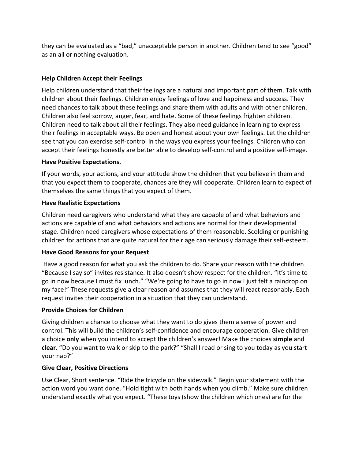they can be evaluated as a "bad," unacceptable person in another. Children tend to see "good" as an all or nothing evaluation.

# **Help Children Accept their Feelings**

Help children understand that their feelings are a natural and important part of them. Talk with children about their feelings. Children enjoy feelings of love and happiness and success. They need chances to talk about these feelings and share them with adults and with other children. Children also feel sorrow, anger, fear, and hate. Some of these feelings frighten children. Children need to talk about all their feelings. They also need guidance in learning to express their feelings in acceptable ways. Be open and honest about your own feelings. Let the children see that you can exercise self-control in the ways you express your feelings. Children who can accept their feelings honestly are better able to develop self-control and a positive self-image.

### **Have Positive Expectations.**

If your words, your actions, and your attitude show the children that you believe in them and that you expect them to cooperate, chances are they will cooperate. Children learn to expect of themselves the same things that you expect of them.

### **Have Realistic Expectations**

Children need caregivers who understand what they are capable of and what behaviors and actions are capable of and what behaviors and actions are normal for their developmental stage. Children need caregivers whose expectations of them reasonable. Scolding or punishing children for actions that are quite natural for their age can seriously damage their self-esteem.

# **Have Good Reasons for your Request**

Have a good reason for what you ask the children to do. Share your reason with the children "Because I say so" invites resistance. It also doesn't show respect for the children. "It's time to go in now because I must fix lunch." "We're going to have to go in now I just felt a raindrop on my face!" These requests give a clear reason and assumes that they will react reasonably. Each request invites their cooperation in a situation that they can understand.

# **Provide Choices for Children**

Giving children a chance to choose what they want to do gives them a sense of power and control. This will build the children's self-confidence and encourage cooperation. Give children a choice **only** when you intend to accept the children's answer! Make the choices **simple** and **clear**. "Do you want to walk or skip to the park?" "Shall I read or sing to you today as you start your nap?"

# **Give Clear, Positive Directions**

Use Clear, Short sentence. "Ride the tricycle on the sidewalk." Begin your statement with the action word you want done. "Hold tight with both hands when you climb." Make sure children understand exactly what you expect. "These toys (show the children which ones) are for the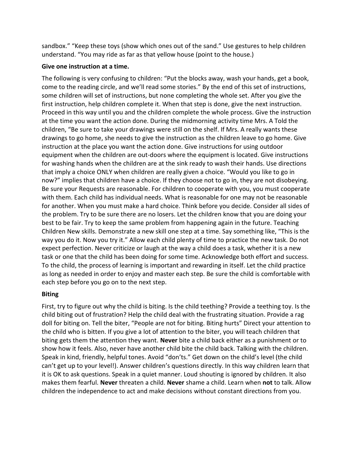sandbox." "Keep these toys (show which ones out of the sand." Use gestures to help children understand. "You may ride as far as that yellow house (point to the house.)

### **Give one instruction at a time.**

The following is very confusing to children: "Put the blocks away, wash your hands, get a book, come to the reading circle, and we'll read some stories." By the end of this set of instructions, some children will set of instructions, but none completing the whole set. After you give the first instruction, help children complete it. When that step is done, give the next instruction. Proceed in this way until you and the children complete the whole process. Give the instruction at the time you want the action done. During the midmorning activity time Mrs. A Told the children, "Be sure to take your drawings were still on the shelf. If Mrs. A really wants these drawings to go home, she needs to give the instruction as the children leave to go home. Give instruction at the place you want the action done. Give instructions for using outdoor equipment when the children are out-doors where the equipment is located. Give instructions for washing hands when the children are at the sink ready to wash their hands. Use directions that imply a choice ONLY when children are really given a choice. "Would you like to go in now?" implies that children have a choice. If they choose not to go in, they are not disobeying. Be sure your Requests are reasonable. For children to cooperate with you, you must cooperate with them. Each child has individual needs. What is reasonable for one may not be reasonable for another. When you must make a hard choice. Think before you decide. Consider all sides of the problem. Try to be sure there are no losers. Let the children know that you are doing your best to be fair. Try to keep the same problem from happening again in the future. Teaching Children New skills. Demonstrate a new skill one step at a time. Say something like, "This is the way you do it. Now you try it." Allow each child plenty of time to practice the new task. Do not expect perfection. Never criticize or laugh at the way a child does a task, whether it is a new task or one that the child has been doing for some time. Acknowledge both effort and success. To the child, the process of learning is important and rewarding in itself. Let the child practice as long as needed in order to enjoy and master each step. Be sure the child is comfortable with each step before you go on to the next step.

# **Biting**

First, try to figure out why the child is biting. Is the child teething? Provide a teething toy. Is the child biting out of frustration? Help the child deal with the frustrating situation. Provide a rag doll for biting on. Tell the biter, "People are not for biting. Biting hurts" Direct your attention to the child who is bitten. If you give a lot of attention to the biter, you will teach children that biting gets them the attention they want. **Never** bite a child back either as a punishment or to show how it feels. Also, never have another child bite the child back. Talking with the children. Speak in kind, friendly, helpful tones. Avoid "don'ts." Get down on the child's level (the child can't get up to your level!). Answer children's questions directly. In this way children learn that it is OK to ask questions. Speak in a quiet manner. Loud shouting is ignored by children. It also makes them fearful. **Never** threaten a child. **Never** shame a child. Learn when **not** to talk. Allow children the independence to act and make decisions without constant directions from you.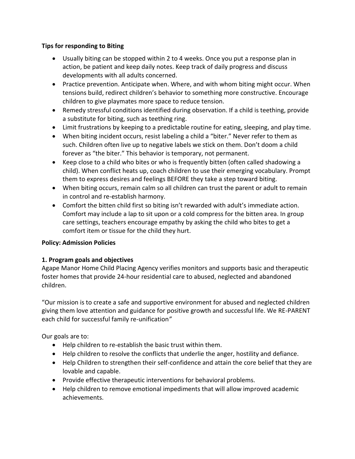### **Tips for responding to Biting**

- Usually biting can be stopped within 2 to 4 weeks. Once you put a response plan in action, be patient and keep daily notes. Keep track of daily progress and discuss developments with all adults concerned.
- Practice prevention. Anticipate when. Where, and with whom biting might occur. When tensions build, redirect children's behavior to something more constructive. Encourage children to give playmates more space to reduce tension.
- Remedy stressful conditions identified during observation. If a child is teething, provide a substitute for biting, such as teething ring.
- Limit frustrations by keeping to a predictable routine for eating, sleeping, and play time.
- When biting incident occurs, resist labeling a child a "biter." Never refer to them as such. Children often live up to negative labels we stick on them. Don't doom a child forever as "the biter." This behavior is temporary, not permanent.
- Keep close to a child who bites or who is frequently bitten (often called shadowing a child). When conflict heats up, coach children to use their emerging vocabulary. Prompt them to express desires and feelings BEFORE they take a step toward biting.
- When biting occurs, remain calm so all children can trust the parent or adult to remain in control and re-establish harmony.
- Comfort the bitten child first so biting isn't rewarded with adult's immediate action. Comfort may include a lap to sit upon or a cold compress for the bitten area. In group care settings, teachers encourage empathy by asking the child who bites to get a comfort item or tissue for the child they hurt.

# **Policy: Admission Policies**

# **1. Program goals and objectives**

Agape Manor Home Child Placing Agency verifies monitors and supports basic and therapeutic foster homes that provide 24-hour residential care to abused, neglected and abandoned children.

"Our mission is to create a safe and supportive environment for abused and neglected children giving them love attention and guidance for positive growth and successful life. We RE-PARENT each child for successful family re-unification*"*

Our goals are to:

- Help children to re-establish the basic trust within them.
- Help children to resolve the conflicts that underlie the anger, hostility and defiance.
- Help Children to strengthen their self-confidence and attain the core belief that they are lovable and capable.
- Provide effective therapeutic interventions for behavioral problems.
- Help children to remove emotional impediments that will allow improved academic achievements.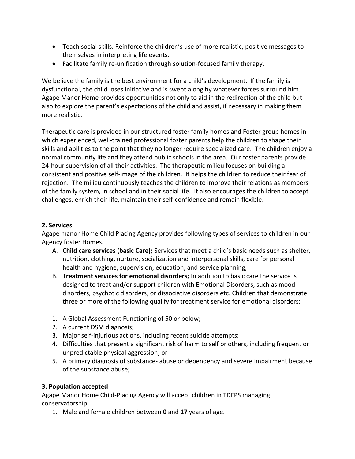- Teach social skills. Reinforce the children's use of more realistic, positive messages to themselves in interpreting life events.
- Facilitate family re-unification through solution-focused family therapy.

We believe the family is the best environment for a child's development. If the family is dysfunctional, the child loses initiative and is swept along by whatever forces surround him. Agape Manor Home provides opportunities not only to aid in the redirection of the child but also to explore the parent's expectations of the child and assist, if necessary in making them more realistic.

Therapeutic care is provided in our structured foster family homes and Foster group homes in which experienced, well-trained professional foster parents help the children to shape their skills and abilities to the point that they no longer require specialized care. The children enjoy a normal community life and they attend public schools in the area. Our foster parents provide 24-hour supervision of all their activities. The therapeutic milieu focuses on building a consistent and positive self-image of the children. It helps the children to reduce their fear of rejection. The milieu continuously teaches the children to improve their relations as members of the family system, in school and in their social life. It also encourages the children to accept challenges, enrich their life, maintain their self-confidence and remain flexible.

### **2. Services**

Agape manor Home Child Placing Agency provides following types of services to children in our Agency foster Homes.

- A. **Child care services (basic Care);** Services that meet a child's basic needs such as shelter, nutrition, clothing, nurture, socialization and interpersonal skills, care for personal health and hygiene, supervision, education, and service planning;
- B. **Treatment services for emotional disorders;** In addition to basic care the service is designed to treat and/or support children with Emotional Disorders, such as mood disorders, psychotic disorders, or dissociative disorders etc. Children that demonstrate three or more of the following qualify for treatment service for emotional disorders:
- 1. A Global Assessment Functioning of 50 or below;
- 2. A current DSM diagnosis;
- 3. Major self-injurious actions, including recent suicide attempts;
- 4. Difficulties that present a significant risk of harm to self or others, including frequent or unpredictable physical aggression; or
- 5. A primary diagnosis of substance- abuse or dependency and severe impairment because of the substance abuse;

# **3. Population accepted**

Agape Manor Home Child-Placing Agency will accept children in TDFPS managing conservatorship

1. Male and female children between **0** and **17** years of age.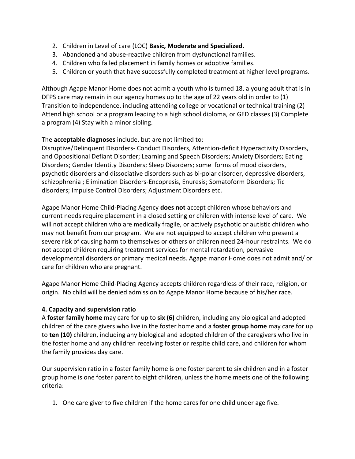- 2. Children in Level of care (LOC) **Basic, Moderate and Specialized.**
- 3. Abandoned and abuse-reactive children from dysfunctional families.
- 4. Children who failed placement in family homes or adoptive families.
- 5. Children or youth that have successfully completed treatment at higher level programs.

Although Agape Manor Home does not admit a youth who is turned 18, a young adult that is in DFPS care may remain in our agency homes up to the age of 22 years old in order to (1) Transition to independence, including attending college or vocational or technical training (2) Attend high school or a program leading to a high school diploma, or GED classes (3) Complete a program (4) Stay with a minor sibling.

# The **acceptable diagnoses** include, but are not limited to:

Disruptive/Delinquent Disorders- Conduct Disorders, Attention-deficit Hyperactivity Disorders, and Oppositional Defiant Disorder; Learning and Speech Disorders; Anxiety Disorders; Eating Disorders; Gender Identity Disorders; Sleep Disorders; some forms of mood disorders, psychotic disorders and dissociative disorders such as bi-polar disorder, depressive disorders, schizophrenia ; Elimination Disorders-Encopresis, Enuresis; Somatoform Disorders; Tic disorders; Impulse Control Disorders; Adjustment Disorders etc.

Agape Manor Home Child-Placing Agency **does not** accept children whose behaviors and current needs require placement in a closed setting or children with intense level of care. We will not accept children who are medically fragile, or actively psychotic or autistic children who may not benefit from our program. We are not equipped to accept children who present a severe risk of causing harm to themselves or others or children need 24-hour restraints. We do not accept children requiring treatment services for mental retardation, pervasive developmental disorders or primary medical needs. Agape manor Home does not admit and/ or care for children who are pregnant.

Agape Manor Home Child-Placing Agency accepts children regardless of their race, religion, or origin. No child will be denied admission to Agape Manor Home because of his/her race.

# **4. Capacity and supervision ratio**

A **foster family home** may care for up to **six (6)** children, including any biological and adopted children of the care givers who live in the foster home and a **foster group home** may care for up to **ten (10)** children, including any biological and adopted children of the caregivers who live in the foster home and any children receiving foster or respite child care, and children for whom the family provides day care.

Our supervision ratio in a foster family home is one foster parent to six children and in a foster group home is one foster parent to eight children, unless the home meets one of the following criteria:

1. One care giver to five children if the home cares for one child under age five.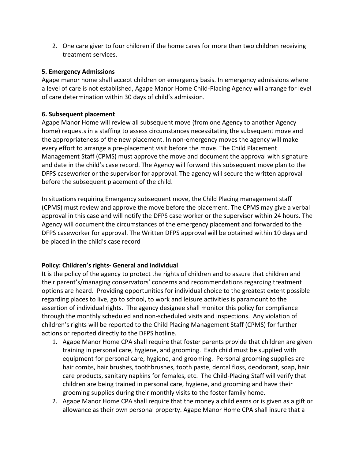2. One care giver to four children if the home cares for more than two children receiving treatment services.

### **5. Emergency Admissions**

Agape manor home shall accept children on emergency basis. In emergency admissions where a level of care is not established, Agape Manor Home Child-Placing Agency will arrange for level of care determination within 30 days of child's admission.

### **6. Subsequent placement**

Agape Manor Home will review all subsequent move (from one Agency to another Agency home) requests in a staffing to assess circumstances necessitating the subsequent move and the appropriateness of the new placement. In non-emergency moves the agency will make every effort to arrange a pre-placement visit before the move. The Child Placement Management Staff (CPMS) must approve the move and document the approval with signature and date in the child's case record. The Agency will forward this subsequent move plan to the DFPS caseworker or the supervisor for approval. The agency will secure the written approval before the subsequent placement of the child.

In situations requiring Emergency subsequent move, the Child Placing management staff (CPMS) must review and approve the move before the placement. The CPMS may give a verbal approval in this case and will notify the DFPS case worker or the supervisor within 24 hours. The Agency will document the circumstances of the emergency placement and forwarded to the DFPS caseworker for approval. The Written DFPS approval will be obtained within 10 days and be placed in the child's case record

# **Policy: Children's rights- General and individual**

It is the policy of the agency to protect the rights of children and to assure that children and their parent's/managing conservators' concerns and recommendations regarding treatment options are heard. Providing opportunities for individual choice to the greatest extent possible regarding places to live, go to school, to work and leisure activities is paramount to the assertion of individual rights. The agency designee shall monitor this policy for compliance through the monthly scheduled and non-scheduled visits and inspections. Any violation of children's rights will be reported to the Child Placing Management Staff (CPMS) for further actions or reported directly to the DFPS hotline.

- 1. Agape Manor Home CPA shall require that foster parents provide that children are given training in personal care, hygiene, and grooming. Each child must be supplied with equipment for personal care, hygiene, and grooming. Personal grooming supplies are hair combs, hair brushes, toothbrushes, tooth paste, dental floss, deodorant, soap, hair care products, sanitary napkins for females, etc. The Child-Placing Staff will verify that children are being trained in personal care, hygiene, and grooming and have their grooming supplies during their monthly visits to the foster family home.
- 2. Agape Manor Home CPA shall require that the money a child earns or is given as a gift or allowance as their own personal property. Agape Manor Home CPA shall insure that a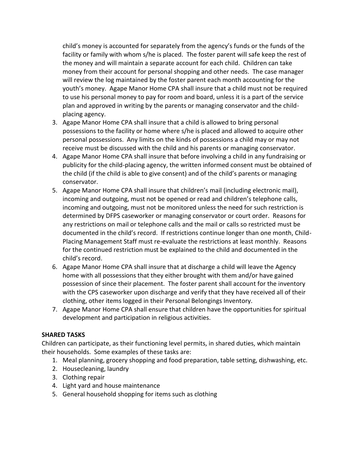child's money is accounted for separately from the agency's funds or the funds of the facility or family with whom s/he is placed. The foster parent will safe keep the rest of the money and will maintain a separate account for each child. Children can take money from their account for personal shopping and other needs. The case manager will review the log maintained by the foster parent each month accounting for the youth's money. Agape Manor Home CPA shall insure that a child must not be required to use his personal money to pay for room and board, unless it is a part of the service plan and approved in writing by the parents or managing conservator and the childplacing agency.

- 3. Agape Manor Home CPA shall insure that a child is allowed to bring personal possessions to the facility or home where s/he is placed and allowed to acquire other personal possessions. Any limits on the kinds of possessions a child may or may not receive must be discussed with the child and his parents or managing conservator.
- 4. Agape Manor Home CPA shall insure that before involving a child in any fundraising or publicity for the child-placing agency, the written informed consent must be obtained of the child (if the child is able to give consent) and of the child's parents or managing conservator.
- 5. Agape Manor Home CPA shall insure that children's mail (including electronic mail), incoming and outgoing, must not be opened or read and children's telephone calls, incoming and outgoing, must not be monitored unless the need for such restriction is determined by DFPS caseworker or managing conservator or court order. Reasons for any restrictions on mail or telephone calls and the mail or calls so restricted must be documented in the child's record. If restrictions continue longer than one month, Child-Placing Management Staff must re-evaluate the restrictions at least monthly. Reasons for the continued restriction must be explained to the child and documented in the child's record.
- 6. Agape Manor Home CPA shall insure that at discharge a child will leave the Agency home with all possessions that they either brought with them and/or have gained possession of since their placement. The foster parent shall account for the inventory with the CPS caseworker upon discharge and verify that they have received all of their clothing, other items logged in their Personal Belongings Inventory.
- 7. Agape Manor Home CPA shall ensure that children have the opportunities for spiritual development and participation in religious activities.

# **SHARED TASKS**

Children can participate, as their functioning level permits, in shared duties, which maintain their households. Some examples of these tasks are:

- 1. Meal planning, grocery shopping and food preparation, table setting, dishwashing, etc.
- 2. Housecleaning, laundry
- 3. Clothing repair
- 4. Light yard and house maintenance
- 5. General household shopping for items such as clothing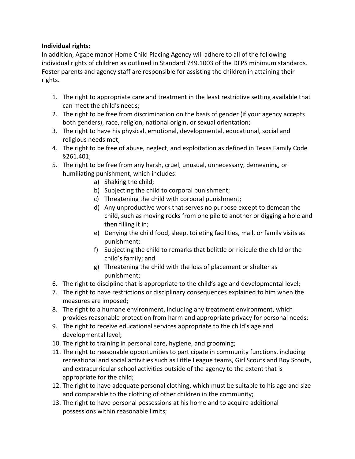# **Individual rights:**

In addition, Agape manor Home Child Placing Agency will adhere to all of the following individual rights of children as outlined in Standard 749.1003 of the DFPS minimum standards. Foster parents and agency staff are responsible for assisting the children in attaining their rights.

- 1. The right to appropriate care and treatment in the least restrictive setting available that can meet the child's needs;
- 2. The right to be free from discrimination on the basis of gender (if your agency accepts both genders), race, religion, national origin, or sexual orientation;
- 3. The right to have his physical, emotional, developmental, educational, social and religious needs met;
- 4. The right to be free of abuse, neglect, and exploitation as defined in Texas Family Code §261.401;
- 5. The right to be free from any harsh, cruel, unusual, unnecessary, demeaning, or humiliating punishment, which includes:
	- a) Shaking the child;
	- b) Subjecting the child to corporal punishment;
	- c) Threatening the child with corporal punishment;
	- d) Any unproductive work that serves no purpose except to demean the child, such as moving rocks from one pile to another or digging a hole and then filling it in;
	- e) Denying the child food, sleep, toileting facilities, mail, or family visits as punishment;
	- f) Subjecting the child to remarks that belittle or ridicule the child or the child's family; and
	- g) Threatening the child with the loss of placement or shelter as punishment;
- 6. The right to discipline that is appropriate to the child's age and developmental level;
- 7. The right to have restrictions or disciplinary consequences explained to him when the measures are imposed;
- 8. The right to a humane environment, including any treatment environment, which provides reasonable protection from harm and appropriate privacy for personal needs;
- 9. The right to receive educational services appropriate to the child's age and developmental level;
- 10. The right to training in personal care, hygiene, and grooming;
- 11. The right to reasonable opportunities to participate in community functions, including recreational and social activities such as Little League teams, Girl Scouts and Boy Scouts, and extracurricular school activities outside of the agency to the extent that is appropriate for the child;
- 12. The right to have adequate personal clothing, which must be suitable to his age and size and comparable to the clothing of other children in the community;
- 13. The right to have personal possessions at his home and to acquire additional possessions within reasonable limits;